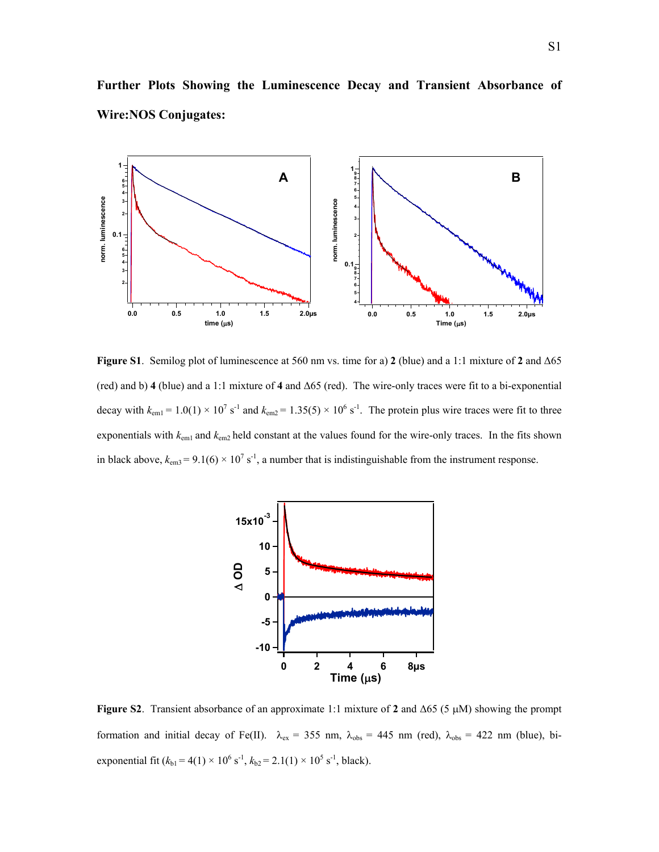

**Further Plots Showing the Luminescence Decay and Transient Absorbance of Wire:NOS Conjugates:** 

**Figure S1**. Semilog plot of luminescence at 560 nm vs. time for a) **2** (blue) and a 1:1 mixture of **2** and ∆65 (red) and b) **4** (blue) and a 1:1 mixture of **4** and ∆65 (red). The wire-only traces were fit to a bi-exponential decay with  $k_{\text{em1}} = 1.0(1) \times 10^7 \text{ s}^{-1}$  and  $k_{\text{em2}} = 1.35(5) \times 10^6 \text{ s}^{-1}$ . The protein plus wire traces were fit to three exponentials with  $k_{\text{em1}}$  and  $k_{\text{em2}}$  held constant at the values found for the wire-only traces. In the fits shown in black above,  $k_{\text{em3}} = 9.1(6) \times 10^7 \text{ s}^{-1}$ , a number that is indistinguishable from the instrument response.



**Figure S2**. Transient absorbance of an approximate 1:1 mixture of **2** and ∆65 (5 µM) showing the prompt formation and initial decay of Fe(II).  $\lambda_{ex} = 355$  nm,  $\lambda_{obs} = 445$  nm (red),  $\lambda_{obs} = 422$  nm (blue), biexponential fit  $(k_{b1} = 4(1) \times 10^6 \text{ s}^{-1}, k_{b2} = 2.1(1) \times 10^5 \text{ s}^{-1}, \text{black}.$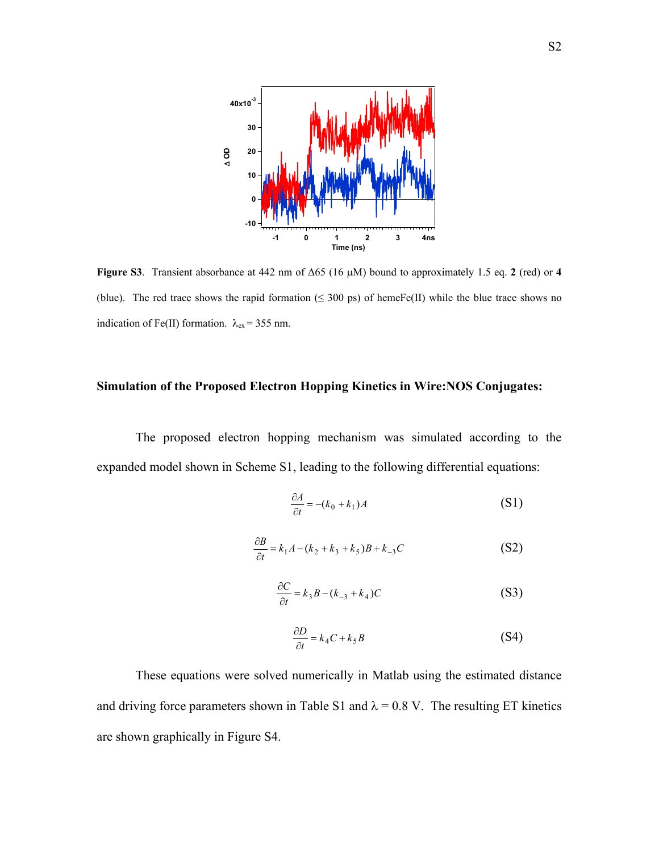

**Figure S3**. Transient absorbance at 442 nm of ∆65 (16 µM) bound to approximately 1.5 eq. **2** (red) or **4** (blue). The red trace shows the rapid formation ( $\leq$  300 ps) of hemeFe(II) while the blue trace shows no indication of Fe(II) formation.  $\lambda_{ex}$  = 355 nm.

## **Simulation of the Proposed Electron Hopping Kinetics in Wire:NOS Conjugates:**

The proposed electron hopping mechanism was simulated according to the expanded model shown in Scheme S1, leading to the following differential equations:

$$
\frac{\partial A}{\partial t} = -(k_0 + k_1)A\tag{S1}
$$

$$
\frac{\partial B}{\partial t} = k_1 A - (k_2 + k_3 + k_5)B + k_{-3}C
$$
 (S2)

$$
\frac{\partial C}{\partial t} = k_3 B - (k_{-3} + k_4)C \tag{S3}
$$

$$
\frac{\partial D}{\partial t} = k_4 C + k_5 B \tag{S4}
$$

These equations were solved numerically in Matlab using the estimated distance and driving force parameters shown in Table S1 and  $\lambda = 0.8$  V. The resulting ET kinetics are shown graphically in Figure S4.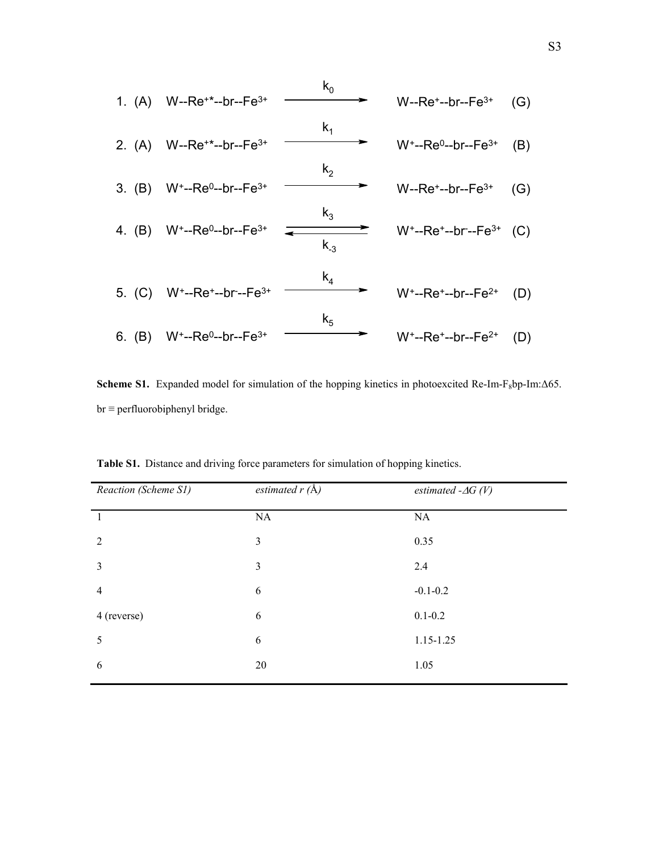

Scheme S1. Expanded model for simulation of the hopping kinetics in photoexcited Re-Im-F<sub>8</sub>bp-Im:∆65.  $br \equiv$  perfluorobiphenyl bridge.

| Reaction (Scheme S1) | estimated $r(A)$ | estimated $-\Delta G(V)$ |
|----------------------|------------------|--------------------------|
| -1                   | NA               | NA                       |
| $\overline{2}$       | $\mathfrak{Z}$   | 0.35                     |
| $\overline{3}$       | 3                | 2.4                      |
| $\overline{4}$       | 6                | $-0.1 - 0.2$             |
| 4 (reverse)          | 6                | $0.1 - 0.2$              |
| 5                    | 6                | 1.15-1.25                |
| 6                    | 20               | 1.05                     |

**Table S1.** Distance and driving force parameters for simulation of hopping kinetics.